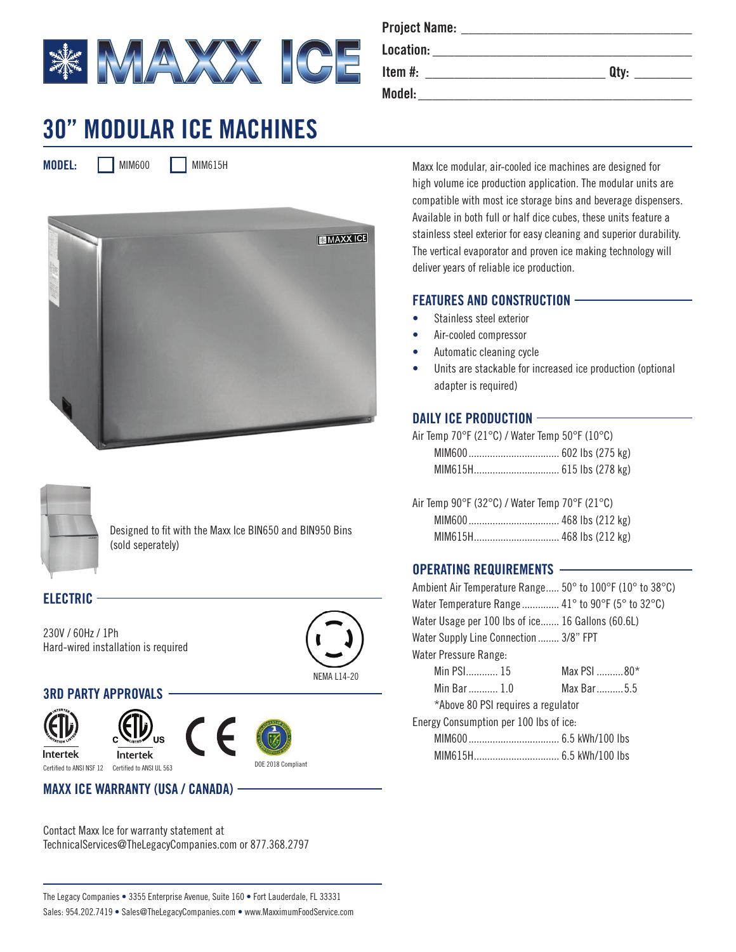

# **30" MODULAR ICE MACHINES**

**MODEL:** MIM600 MIM615H





Designed to fit with the Maxx Ice BIN650 and BIN950 Bins (sold seperately)

## **ELECTRIC**

230V / 60Hz / 1Ph Hard-wired installation is required



## **3RD PARTY APPROVALS**



Intertek





DOE 2018 Compliant Certified to ANSI NSF 12 Certified to ANSI UL 563

## **MAXX ICE WARRANTY (USA / CANADA)**

Contact Maxx Ice for warranty statement at TechnicalServices@TheLegacyCompanies.com or 877.368.2797

| <b>Project Name:</b> |      |
|----------------------|------|
| Location:            |      |
| Item $#$ :           | Qty: |
| Model:               |      |

Maxx Ice modular, air-cooled ice machines are designed for high volume ice production application. The modular units are compatible with most ice storage bins and beverage dispensers. Available in both full or half dice cubes, these units feature a stainless steel exterior for easy cleaning and superior durability. The vertical evaporator and proven ice making technology will deliver years of reliable ice production.

#### **FEATURES AND CONSTRUCTION**

- Stainless steel exterior
- Air-cooled compressor
- Automatic cleaning cycle
- Units are stackable for increased ice production (optional adapter is required)

### **DAILY ICE PRODUCTION**

Air Temp 70°F (21°C) / Water Temp 50°F (10°C)

Air Temp 90°F (32°C) / Water Temp 70°F (21°C) MIM600.................................. 468 lbs (212 kg) MIM615H................................ 468 lbs (212 kg)

#### **OPERATING REQUIREMENTS**

Ambient Air Temperature Range..... 50° to 100°F (10° to 38°C) Water Temperature Range............... 41° to 90°F (5° to 32°C) Water Usage per 100 lbs of ice....... 16 Gallons (60.6L) Water Supply Line Connection ........ 3/8" FPT Water Pressure Range: Min PSI............ 15 Max PSI ........... 80\* Min Bar ........... 1.0 Max Bar..........5.5 \*Above 80 PSI requires a regulator

Energy Consumption per 100 lbs of ice:

| . |  |  |  |
|---|--|--|--|
|   |  |  |  |
|   |  |  |  |

The Legacy Companies • 3355 Enterprise Avenue, Suite 160 • Fort Lauderdale, FL 33331 Sales: 954.202.7419 • Sales@TheLegacyCompanies.com • www.MaxximumFoodService.com